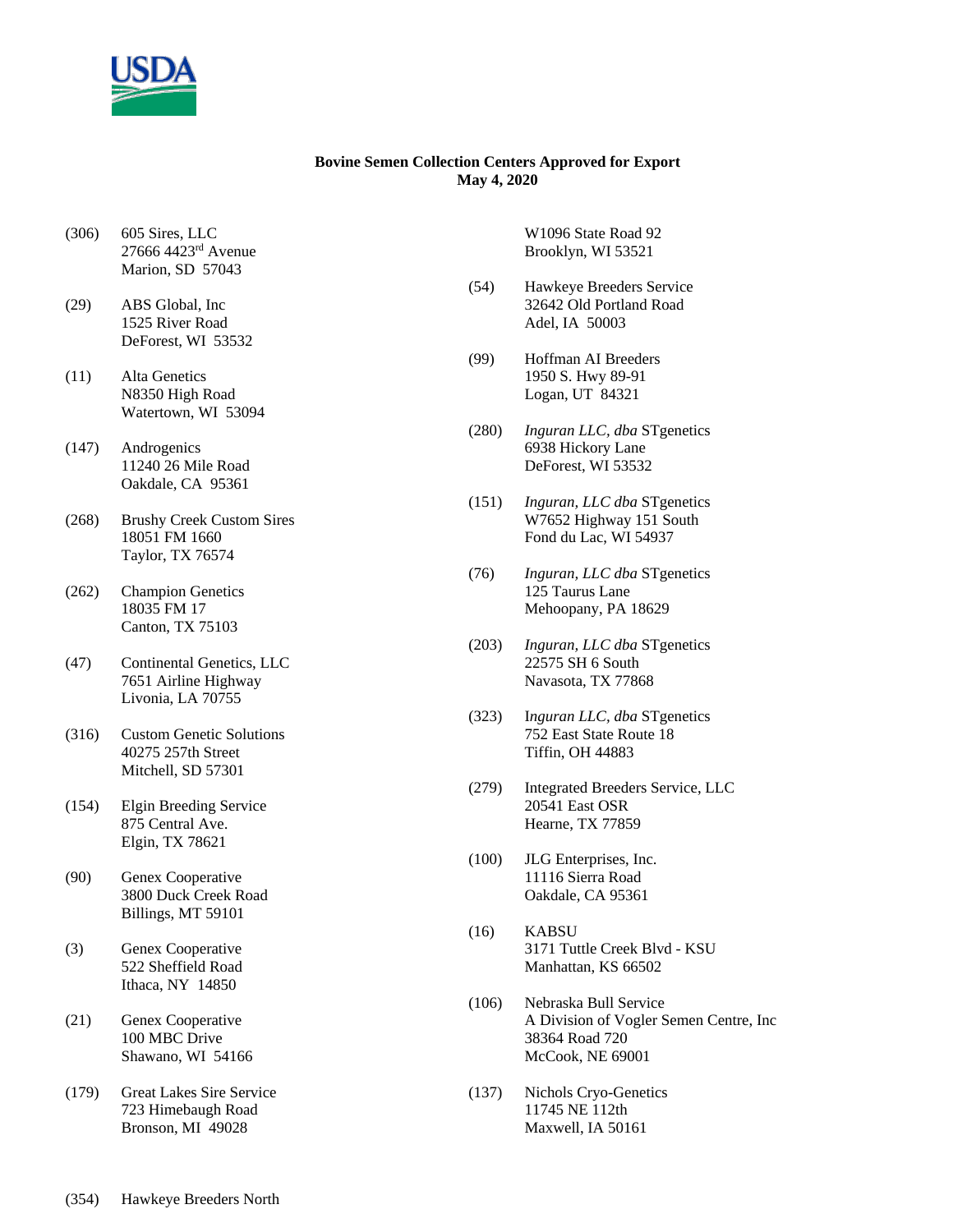

## **Bovine Semen Collection Centers Approved for Export May 4, 2020**

- (306) 605 Sires, LLC 27666 4423rd Avenue Marion, SD 57043
- (29) ABS Global, Inc 1525 River Road DeForest, WI 53532
- (11) Alta Genetics N8350 High Road Watertown, WI 53094
- (147) Androgenics 11240 26 Mile Road Oakdale, CA 95361
- (268) Brushy Creek Custom Sires 18051 FM 1660 Taylor, TX 76574
- (262) Champion Genetics 18035 FM 17 Canton, TX 75103
- (47) Continental Genetics, LLC 7651 Airline Highway Livonia, LA 70755
- (316) Custom Genetic Solutions 40275 257th Street Mitchell, SD 57301
- (154) Elgin Breeding Service 875 Central Ave. Elgin, TX 78621
- (90) Genex Cooperative 3800 Duck Creek Road Billings, MT 59101
- (3) Genex Cooperative 522 Sheffield Road Ithaca, NY 14850
- (21) Genex Cooperative 100 MBC Drive Shawano, WI 54166
- (179) Great Lakes Sire Service 723 Himebaugh Road Bronson, MI 49028

W1096 State Road 92 Brooklyn, WI 53521

- (54) Hawkeye Breeders Service 32642 Old Portland Road Adel, IA 50003
- (99) Hoffman AI Breeders 1950 S. Hwy 89-91 Logan, UT 84321
- (280) *Inguran LLC, dba* STgenetics 6938 Hickory Lane DeForest, WI 53532
- (151) *Inguran, LLC dba* STgenetics W7652 Highway 151 South Fond du Lac, WI 54937
- (76) *Inguran, LLC dba* STgenetics 125 Taurus Lane Mehoopany, PA 18629
- (203) *Inguran, LLC dba* STgenetics 22575 SH 6 South Navasota, TX 77868
- (323) I*nguran LLC, dba* STgenetics 752 East State Route 18 Tiffin, OH 44883
- (279) Integrated Breeders Service, LLC 20541 East OSR Hearne, TX 77859
- (100) JLG Enterprises, Inc. 11116 Sierra Road Oakdale, CA 95361
- (16) KABSU 3171 Tuttle Creek Blvd - KSU Manhattan, KS 66502
- (106) Nebraska Bull Service A Division of Vogler Semen Centre, Inc 38364 Road 720 McCook, NE 69001
- (137) Nichols Cryo-Genetics 11745 NE 112th Maxwell, IA 50161